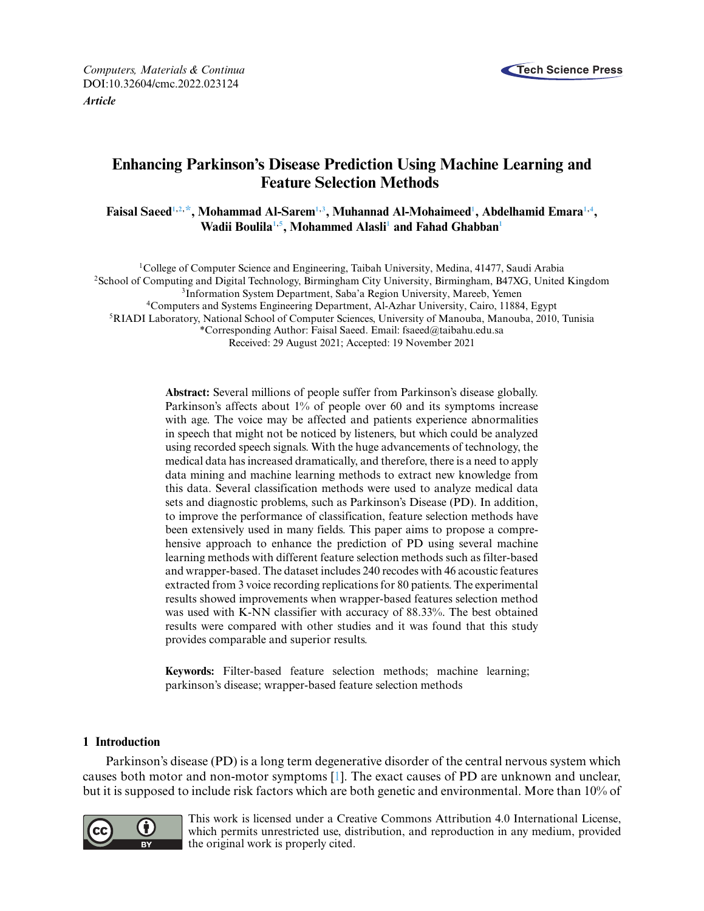

*Computers, Materials & Continua* **Tech Science Press** DOI[:10.32604/cmc.2022.023124](http://dx.doi.org/10.32604/cmc.2022.023124) *Article*

# **Enhancing Parkinson's Disease Prediction Using Machine Learning and Feature Selection Methods**

**Faisal Saee[d1,](#page-0-0)[2,](#page-0-1) [\\*,](#page-0-2) Mohammad Al-Sare[m1,](#page-0-0)[3](#page-0-1) , Muhannad Al-Mohaimee[d1](#page-0-0) , Abdelhamid Emar[a1,](#page-0-0)[4](#page-0-3) , Wadii Boulil[a1,](#page-0-0)[5](#page-0-4) , Mohammed Alasl[i1](#page-0-0) and Fahad Ghabba[n1](#page-0-0)**

<span id="page-0-4"></span><span id="page-0-1"></span><span id="page-0-0"></span>1College of Computer Science and Engineering, Taibah University, Medina, 41477, Saudi Arabia 2School of Computing and Digital Technology, Birmingham City University, Birmingham, B47XG, United Kingdom 3Information System Department, Saba'a Region University, Mareeb, Yemen 4Computers and Systems Engineering Department, Al-Azhar University, Cairo, 11884, Egypt 5RIADI Laboratory, National School of Computer Sciences, University of Manouba, Manouba, 2010, Tunisia \*Corresponding Author: Faisal Saeed. Email: [fsaeed@taibahu.edu.sa](mailto:fsaeed@taibahu.edu.sa) Received: 29 August 2021; Accepted: 19 November 2021

> <span id="page-0-3"></span><span id="page-0-2"></span>**Abstract:** Several millions of people suffer from Parkinson's disease globally. Parkinson's affects about 1% of people over 60 and its symptoms increase with age. The voice may be affected and patients experience abnormalities in speech that might not be noticed by listeners, but which could be analyzed using recorded speech signals. With the huge advancements of technology, the medical data has increased dramatically, and therefore, there is a need to apply data mining and machine learning methods to extract new knowledge from this data. Several classification methods were used to analyze medical data sets and diagnostic problems, such as Parkinson's Disease (PD). In addition, to improve the performance of classification, feature selection methods have been extensively used in many fields. This paper aims to propose a comprehensive approach to enhance the prediction of PD using several machine learning methods with different feature selection methods such as filter-based and wrapper-based. The dataset includes 240 recodes with 46 acoustic features extracted from 3 voice recording replications for 80 patients. The experimental results showed improvements when wrapper-based features selection method was used with K-NN classifier with accuracy of 88.33%. The best obtained results were compared with other studies and it was found that this study provides comparable and superior results.

**Keywords:** Filter-based feature selection methods; machine learning; parkinson's disease; wrapper-based feature selection methods

### **1 Introduction**

Parkinson's disease (PD) is a long term degenerative disorder of the central nervous system which causes both motor and non-motor symptoms [\[1\]](#page-15-0). The exact causes of PD are unknown and unclear, but it is supposed to include risk factors which are both genetic and environmental. More than 10% of



This work is licensed under a Creative Commons Attribution 4.0 International License, which permits unrestricted use, distribution, and reproduction in any medium, provided the original work is properly cited.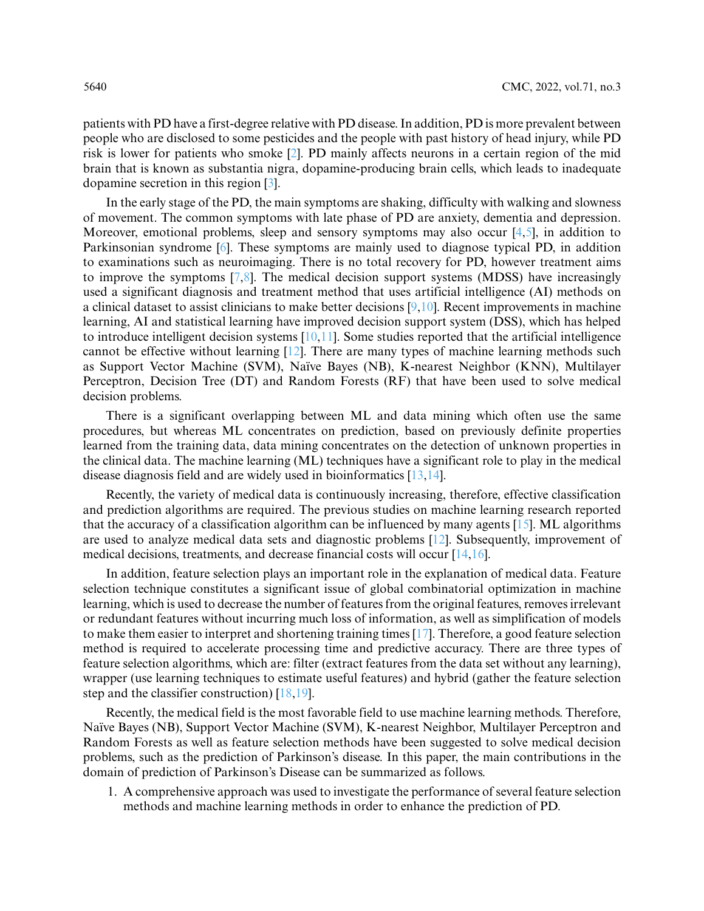patients with PD have a first-degree relative with PD disease. In addition, PD is more prevalent between people who are disclosed to some pesticides and the people with past history of head injury, while PD risk is lower for patients who smoke [\[2\]](#page-15-1). PD mainly affects neurons in a certain region of the mid brain that is known as substantia nigra, dopamine-producing brain cells, which leads to inadequate dopamine secretion in this region [\[3\]](#page-15-2).

In the early stage of the PD, the main symptoms are shaking, difficulty with walking and slowness of movement. The common symptoms with late phase of PD are anxiety, dementia and depression. Moreover, emotional problems, sleep and sensory symptoms may also occur  $[4,5]$  $[4,5]$ , in addition to Parkinsonian syndrome [\[6\]](#page-16-0). These symptoms are mainly used to diagnose typical PD, in addition to examinations such as neuroimaging. There is no total recovery for PD, however treatment aims to improve the symptoms [\[7,](#page-16-1)[8\]](#page-16-2). The medical decision support systems (MDSS) have increasingly used a significant diagnosis and treatment method that uses artificial intelligence (AI) methods on a clinical dataset to assist clinicians to make better decisions  $[9,10]$  $[9,10]$ . Recent improvements in machine learning, AI and statistical learning have improved decision support system (DSS), which has helped to introduce intelligent decision systems  $[10,11]$  $[10,11]$ . Some studies reported that the artificial intelligence cannot be effective without learning [\[12\]](#page-16-6). There are many types of machine learning methods such as Support Vector Machine (SVM), Naïve Bayes (NB), K-nearest Neighbor (KNN), Multilayer Perceptron, Decision Tree (DT) and Random Forests (RF) that have been used to solve medical decision problems.

There is a significant overlapping between ML and data mining which often use the same procedures, but whereas ML concentrates on prediction, based on previously definite properties learned from the training data, data mining concentrates on the detection of unknown properties in the clinical data. The machine learning (ML) techniques have a significant role to play in the medical disease diagnosis field and are widely used in bioinformatics [\[13](#page-16-7)[,14\]](#page-16-8).

Recently, the variety of medical data is continuously increasing, therefore, effective classification and prediction algorithms are required. The previous studies on machine learning research reported that the accuracy of a classification algorithm can be influenced by many agents [\[15\]](#page-16-9). ML algorithms are used to analyze medical data sets and diagnostic problems [\[12\]](#page-16-6). Subsequently, improvement of medical decisions, treatments, and decrease financial costs will occur [\[14,](#page-16-8)[16\]](#page-16-10).

In addition, feature selection plays an important role in the explanation of medical data. Feature selection technique constitutes a significant issue of global combinatorial optimization in machine learning, which is used to decrease the number of features from the original features, removes irrelevant or redundant features without incurring much loss of information, as well as simplification of models to make them easier to interpret and shortening training times [\[17\]](#page-16-11). Therefore, a good feature selection method is required to accelerate processing time and predictive accuracy. There are three types of feature selection algorithms, which are: filter (extract features from the data set without any learning), wrapper (use learning techniques to estimate useful features) and hybrid (gather the feature selection step and the classifier construction) [\[18,](#page-16-12)[19\]](#page-16-13).

Recently, the medical field is the most favorable field to use machine learning methods. Therefore, Naïve Bayes (NB), Support Vector Machine (SVM), K-nearest Neighbor, Multilayer Perceptron and Random Forests as well as feature selection methods have been suggested to solve medical decision problems, such as the prediction of Parkinson's disease. In this paper, the main contributions in the domain of prediction of Parkinson's Disease can be summarized as follows.

1. A comprehensive approach was used to investigate the performance of several feature selection methods and machine learning methods in order to enhance the prediction of PD.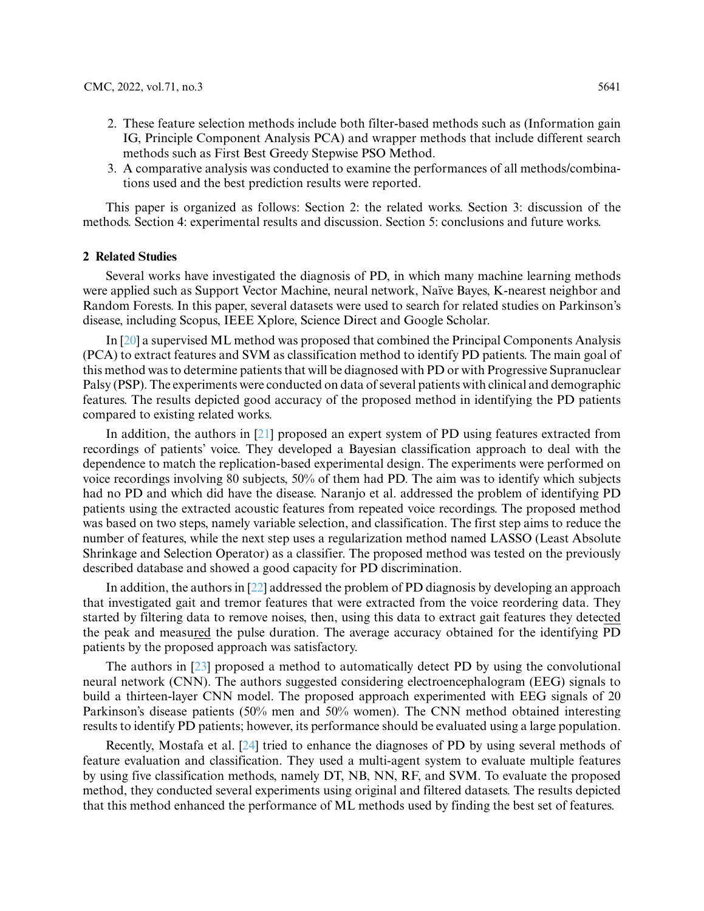- 2. These feature selection methods include both filter-based methods such as (Information gain IG, Principle Component Analysis PCA) and wrapper methods that include different search methods such as First Best Greedy Stepwise PSO Method.
- 3. A comparative analysis was conducted to examine the performances of all methods/combinations used and the best prediction results were reported.

This paper is organized as follows: Section 2: the related works. Section 3: discussion of the methods. Section 4: experimental results and discussion. Section 5: conclusions and future works.

### **2 Related Studies**

Several works have investigated the diagnosis of PD, in which many machine learning methods were applied such as Support Vector Machine, neural network, Naïve Bayes, K-nearest neighbor and Random Forests. In this paper, several datasets were used to search for related studies on Parkinson's disease, including Scopus, IEEE Xplore, Science Direct and Google Scholar.

In [\[20\]](#page-16-14) a supervised ML method was proposed that combined the Principal Components Analysis (PCA) to extract features and SVM as classification method to identify PD patients. The main goal of this method was to determine patients that will be diagnosed with PD or with Progressive Supranuclear Palsy (PSP). The experiments were conducted on data of several patients with clinical and demographic features. The results depicted good accuracy of the proposed method in identifying the PD patients compared to existing related works.

In addition, the authors in [\[21\]](#page-16-15) proposed an expert system of PD using features extracted from recordings of patients' voice. They developed a Bayesian classification approach to deal with the dependence to match the replication-based experimental design. The experiments were performed on voice recordings involving 80 subjects, 50% of them had PD. The aim was to identify which subjects had no PD and which did have the disease. Naranjo et al. addressed the problem of identifying PD patients using the extracted acoustic features from repeated voice recordings. The proposed method was based on two steps, namely variable selection, and classification. The first step aims to reduce the number of features, while the next step uses a regularization method named LASSO (Least Absolute Shrinkage and Selection Operator) as a classifier. The proposed method was tested on the previously described database and showed a good capacity for PD discrimination.

In addition, the authors in  $[22]$  addressed the problem of PD diagnosis by developing an approach that investigated gait and tremor features that were extracted from the voice reordering data. They started by filtering data to remove noises, then, using this data to extract gait features they detected the peak and measured the pulse duration. The average accuracy obtained for the identifying PD patients by the proposed approach was satisfactory.

The authors in [\[23\]](#page-16-17) proposed a method to automatically detect PD by using the convolutional neural network (CNN). The authors suggested considering electroencephalogram (EEG) signals to build a thirteen-layer CNN model. The proposed approach experimented with EEG signals of 20 Parkinson's disease patients (50% men and 50% women). The CNN method obtained interesting results to identify PD patients; however, its performance should be evaluated using a large population.

Recently, Mostafa et al. [\[24\]](#page-16-18) tried to enhance the diagnoses of PD by using several methods of feature evaluation and classification. They used a multi-agent system to evaluate multiple features by using five classification methods, namely DT, NB, NN, RF, and SVM. To evaluate the proposed method, they conducted several experiments using original and filtered datasets. The results depicted that this method enhanced the performance of ML methods used by finding the best set of features.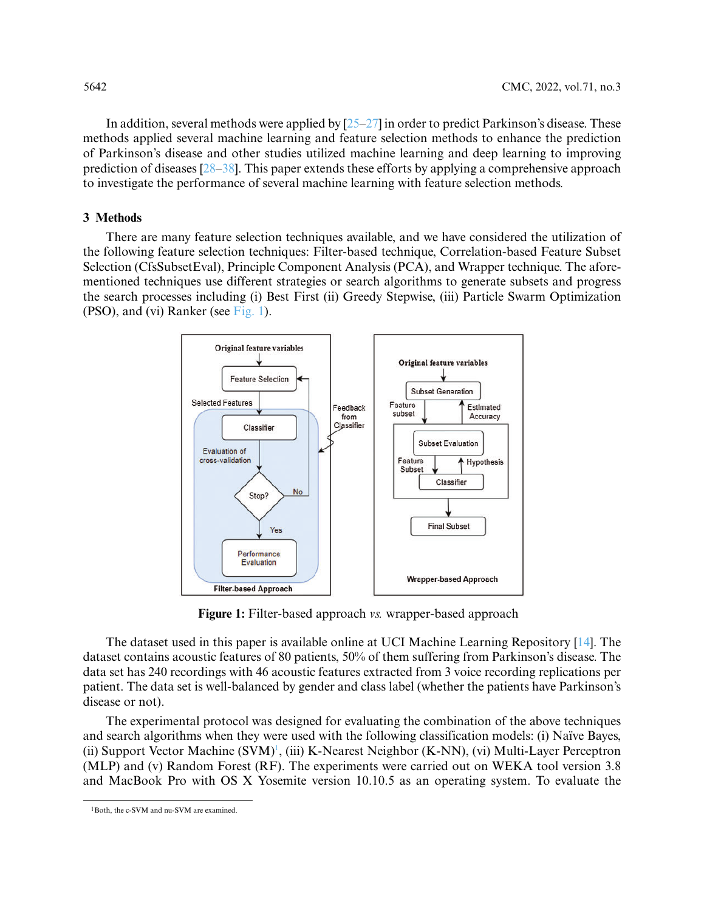In addition, several methods were applied by  $[25-27]$  $[25-27]$  in order to predict Parkinson's disease. These methods applied several machine learning and feature selection methods to enhance the prediction of Parkinson's disease and other studies utilized machine learning and deep learning to improving prediction of diseases  $[28-38]$  $[28-38]$ . This paper extends these efforts by applying a comprehensive approach to investigate the performance of several machine learning with feature selection methods.

## **3 Methods**

There are many feature selection techniques available, and we have considered the utilization of the following feature selection techniques: Filter-based technique, Correlation-based Feature Subset Selection (CfsSubsetEval), Principle Component Analysis (PCA), and Wrapper technique. The aforementioned techniques use different strategies or search algorithms to generate subsets and progress the search processes including (i) Best First (ii) Greedy Stepwise, (iii) Particle Swarm Optimization (PSO), and (vi) Ranker (see [Fig. 1\)](#page-3-0).



**Figure 1:** Filter-based approach *vs.* wrapper-based approach

<span id="page-3-0"></span>The dataset used in this paper is available online at UCI Machine Learning Repository [\[14\]](#page-16-8). The dataset contains acoustic features of 80 patients, 50% of them suffering from Parkinson's disease. The data set has 240 recordings with 46 acoustic features extracted from 3 voice recording replications per patient. The data set is well-balanced by gender and class label (whether the patients have Parkinson's disease or not).

The experimental protocol was designed for evaluating the combination of the above techniques and search algorithms when they were used with the following classification models: (i) Naïve Bayes, (ii) Support Vector Machine (SVM)<sup>1</sup>, (iii) K-Nearest Neighbor (K-NN), (vi) Multi-Layer Perceptron (MLP) and (v) Random Forest (RF). The experiments were carried out on WEKA tool version 3.8 and MacBook Pro with OS X Yosemite version 10.10.5 as an operating system. To evaluate the

<span id="page-3-1"></span><sup>1</sup>Both, the c-SVM and nu-SVM are examined.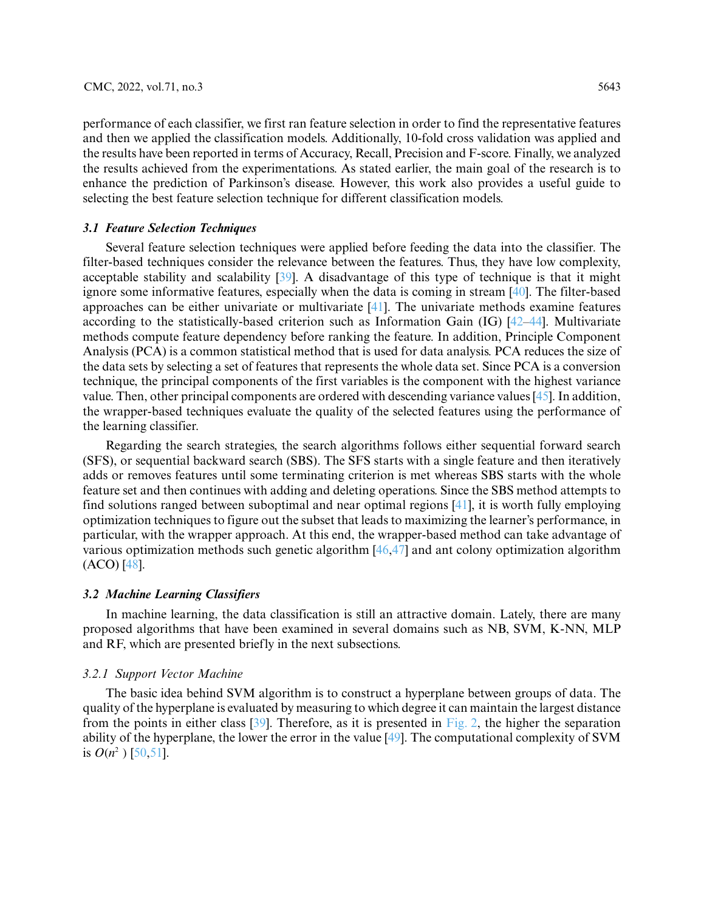performance of each classifier, we first ran feature selection in order to find the representative features and then we applied the classification models. Additionally, 10-fold cross validation was applied and the results have been reported in terms of Accuracy, Recall, Precision and F-score. Finally, we analyzed the results achieved from the experimentations. As stated earlier, the main goal of the research is to enhance the prediction of Parkinson's disease. However, this work also provides a useful guide to selecting the best feature selection technique for different classification models.

#### *3.1 Feature Selection Techniques*

Several feature selection techniques were applied before feeding the data into the classifier. The filter-based techniques consider the relevance between the features. Thus, they have low complexity, acceptable stability and scalability [\[39\]](#page-17-3). A disadvantage of this type of technique is that it might ignore some informative features, especially when the data is coming in stream [\[40\]](#page-17-4). The filter-based approaches can be either univariate or multivariate  $[41]$ . The univariate methods examine features according to the statistically-based criterion such as Information Gain (IG) [\[42–](#page-17-6)[44\]](#page-17-7). Multivariate methods compute feature dependency before ranking the feature. In addition, Principle Component Analysis (PCA) is a common statistical method that is used for data analysis. PCA reduces the size of the data sets by selecting a set of features that represents the whole data set. Since PCA is a conversion technique, the principal components of the first variables is the component with the highest variance value. Then, other principal components are ordered with descending variance values [\[45\]](#page-17-8). In addition, the wrapper-based techniques evaluate the quality of the selected features using the performance of the learning classifier.

Regarding the search strategies, the search algorithms follows either sequential forward search (SFS), or sequential backward search (SBS). The SFS starts with a single feature and then iteratively adds or removes features until some terminating criterion is met whereas SBS starts with the whole feature set and then continues with adding and deleting operations. Since the SBS method attempts to find solutions ranged between suboptimal and near optimal regions [\[41\]](#page-17-5), it is worth fully employing optimization techniques to figure out the subset that leads to maximizing the learner's performance, in particular, with the wrapper approach. At this end, the wrapper-based method can take advantage of various optimization methods such genetic algorithm [\[46,](#page-18-0)[47\]](#page-18-1) and ant colony optimization algorithm (ACO) [\[48\]](#page-18-2).

#### *3.2 Machine Learning Classifiers*

In machine learning, the data classification is still an attractive domain. Lately, there are many proposed algorithms that have been examined in several domains such as NB, SVM, K-NN, MLP and RF, which are presented briefly in the next subsections.

#### *3.2.1 Support Vector Machine*

The basic idea behind SVM algorithm is to construct a hyperplane between groups of data. The quality of the hyperplane is evaluated by measuring to which degree it can maintain the largest distance from the points in either class [\[39\]](#page-17-3). Therefore, as it is presented in [Fig. 2,](#page-5-0) the higher the separation ability of the hyperplane, the lower the error in the value [\[49\]](#page-18-3). The computational complexity of SVM is  $O(n^2)$  [\[50](#page-18-4)[,51\]](#page-18-5).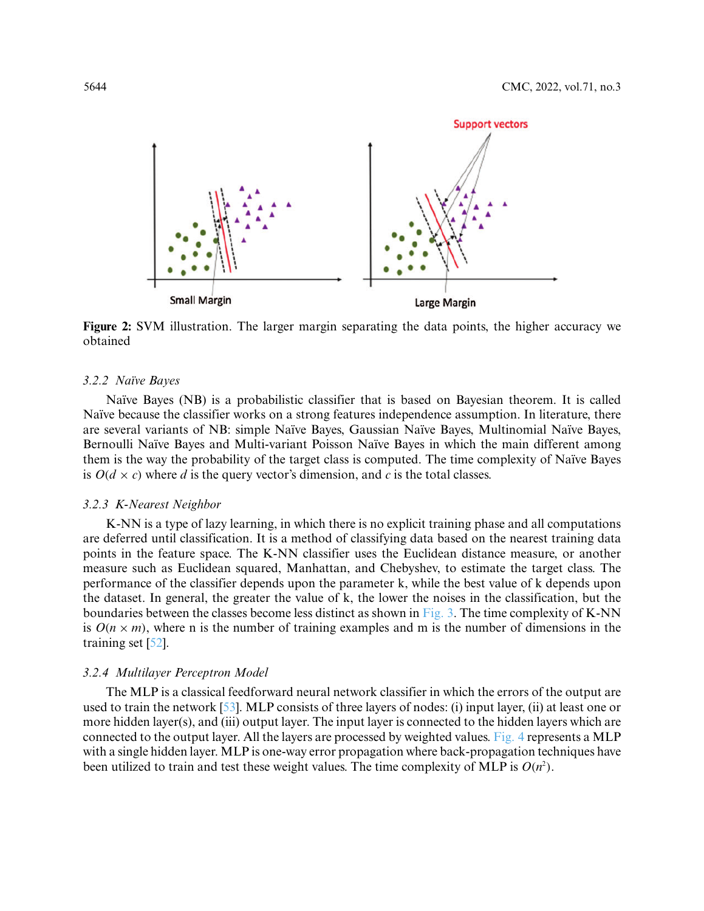

<span id="page-5-0"></span>**Figure 2:** SVM illustration. The larger margin separating the data points, the higher accuracy we obtained

#### *3.2.2 Naïve Bayes*

Naïve Bayes (NB) is a probabilistic classifier that is based on Bayesian theorem. It is called Naïve because the classifier works on a strong features independence assumption. In literature, there are several variants of NB: simple Naïve Bayes, Gaussian Naïve Bayes, Multinomial Naïve Bayes, Bernoulli Naïve Bayes and Multi-variant Poisson Naïve Bayes in which the main different among them is the way the probability of the target class is computed. The time complexity of Naïve Bayes is  $O(d \times c)$  where *d* is the query vector's dimension, and *c* is the total classes.

#### *3.2.3 K-Nearest Neighbor*

K-NN is a type of lazy learning, in which there is no explicit training phase and all computations are deferred until classification. It is a method of classifying data based on the nearest training data points in the feature space. The K-NN classifier uses the Euclidean distance measure, or another measure such as Euclidean squared, Manhattan, and Chebyshev, to estimate the target class. The performance of the classifier depends upon the parameter k, while the best value of k depends upon the dataset. In general, the greater the value of k, the lower the noises in the classification, but the boundaries between the classes become less distinct as shown in [Fig. 3.](#page-6-0) The time complexity of K-NN is  $O(n \times m)$ , where n is the number of training examples and m is the number of dimensions in the training set [\[52\]](#page-18-6).

#### *3.2.4 Multilayer Perceptron Model*

The MLP is a classical feedforward neural network classifier in which the errors of the output are used to train the network [\[53\]](#page-18-7). MLP consists of three layers of nodes: (i) input layer, (ii) at least one or more hidden layer(s), and (iii) output layer. The input layer is connected to the hidden layers which are connected to the output layer. All the layers are processed by weighted values. [Fig. 4](#page-6-1) represents a MLP with a single hidden layer. MLP is one-way error propagation where back-propagation techniques have been utilized to train and test these weight values. The time complexity of MLP is  $O(n^2)$ .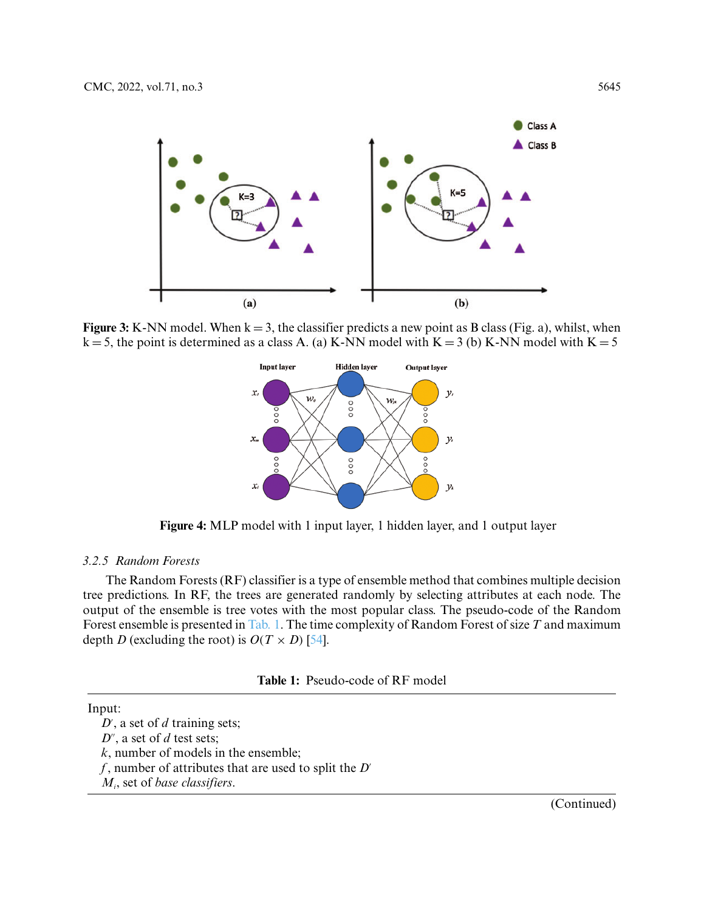

<span id="page-6-0"></span>**Figure 3:** K-NN model. When  $k = 3$ , the classifier predicts a new point as B class (Fig. a), whilst, when  $k = 5$ , the point is determined as a class A. (a) K-NN model with K = 3 (b) K-NN model with K = 5



**Figure 4:** MLP model with 1 input layer, 1 hidden layer, and 1 output layer

## <span id="page-6-1"></span>*3.2.5 Random Forests*

The Random Forests (RF) classifier is a type of ensemble method that combines multiple decision tree predictions. In RF, the trees are generated randomly by selecting attributes at each node. The output of the ensemble is tree votes with the most popular class. The pseudo-code of the Random Forest ensemble is presented in [Tab. 1.](#page-6-2) The time complexity of Random Forest of size *T* and maximum depth *D* (excluding the root) is  $O(T \times D)$  [\[54\]](#page-18-8).

<span id="page-6-2"></span>

#### Input:

*D*- , a set of *d* training sets;  $D''$ , a set of  $d$  test sets; *k*, number of models in the ensemble; *f*, number of attributes that are used to split the *D*- *Mi*, set of *base classifiers*.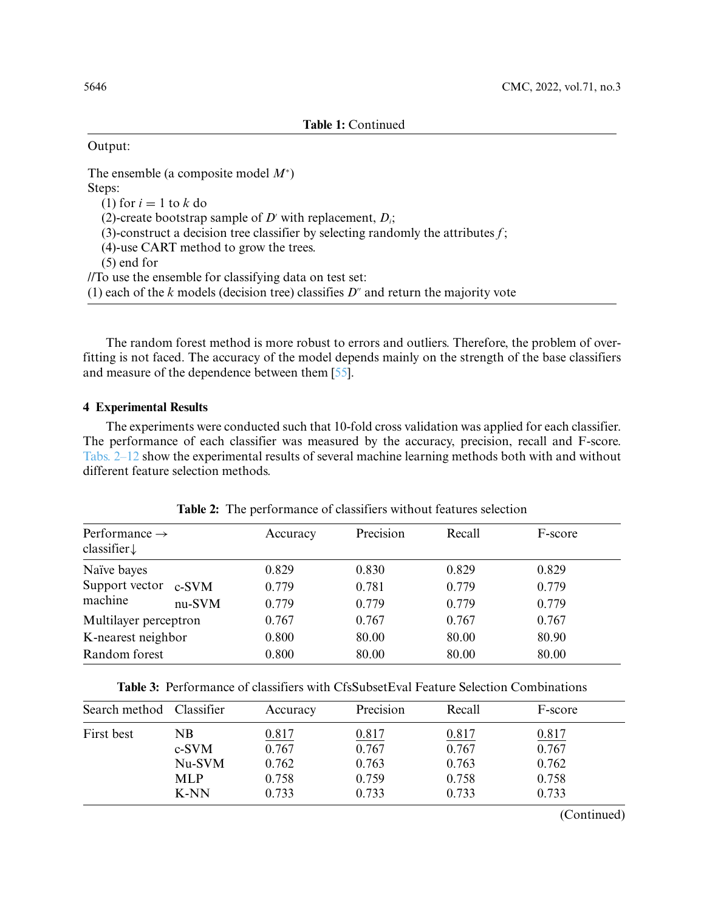### Output:

The ensemble (a composite model *M*<sup>∗</sup> ) Steps: (1) for  $i = 1$  to  $k$  do (2)-create bootstrap sample of *D*<sup> $\prime$ </sup> with replacement, *D<sub>i</sub>*; (3)-construct a decision tree classifier by selecting randomly the attributes *f*; (4)-use CART method to grow the trees. (5) end for //To use the ensemble for classifying data on test set:  $(1)$  each of the  $k$  models (decision tree) classifies  $D^{\prime\prime}$  and return the majority vote

The random forest method is more robust to errors and outliers. Therefore, the problem of overfitting is not faced. The accuracy of the model depends mainly on the strength of the base classifiers and measure of the dependence between them [\[55\]](#page-18-9).

## **4 Experimental Results**

The experiments were conducted such that 10-fold cross validation was applied for each classifier. The performance of each classifier was measured by the accuracy, precision, recall and F-score. Tabs. 2–12 show the experimental results of several machine learning methods both with and without different feature selection methods.

<span id="page-7-0"></span>

| Performance $\rightarrow$<br>classifier $\downarrow$ |        | Accuracy | Precision | Recall | F-score |
|------------------------------------------------------|--------|----------|-----------|--------|---------|
| Naïve bayes                                          |        | 0.829    | 0.830     | 0.829  | 0.829   |
| Support vector c-SVM                                 |        | 0.779    | 0.781     | 0.779  | 0.779   |
| machine                                              | nu-SVM | 0.779    | 0.779     | 0.779  | 0.779   |
| Multilayer perceptron                                |        | 0.767    | 0.767     | 0.767  | 0.767   |
| K-nearest neighbor                                   |        | 0.800    | 80.00     | 80.00  | 80.90   |
| Random forest                                        |        | 0.800    | 80.00     | 80.00  | 80.00   |

**Table 2:** The performance of classifiers without features selection

<span id="page-7-1"></span>**Table 3:** Performance of classifiers with CfsSubsetEval Feature Selection Combinations

| Search method Classifier |                                                 | Accuracy                                  | Precision                                 | Recall                                    | F-score                                   |  |
|--------------------------|-------------------------------------------------|-------------------------------------------|-------------------------------------------|-------------------------------------------|-------------------------------------------|--|
| First best               | NΒ<br>$c-SVM$<br>Nu-SVM<br><b>MLP</b><br>$K-NN$ | 0.817<br>0.767<br>0.762<br>0.758<br>0.733 | 0.817<br>0.767<br>0.763<br>0.759<br>0.733 | 0.817<br>0.767<br>0.763<br>0.758<br>0.733 | 0.817<br>0.767<br>0.762<br>0.758<br>0.733 |  |

(Continued)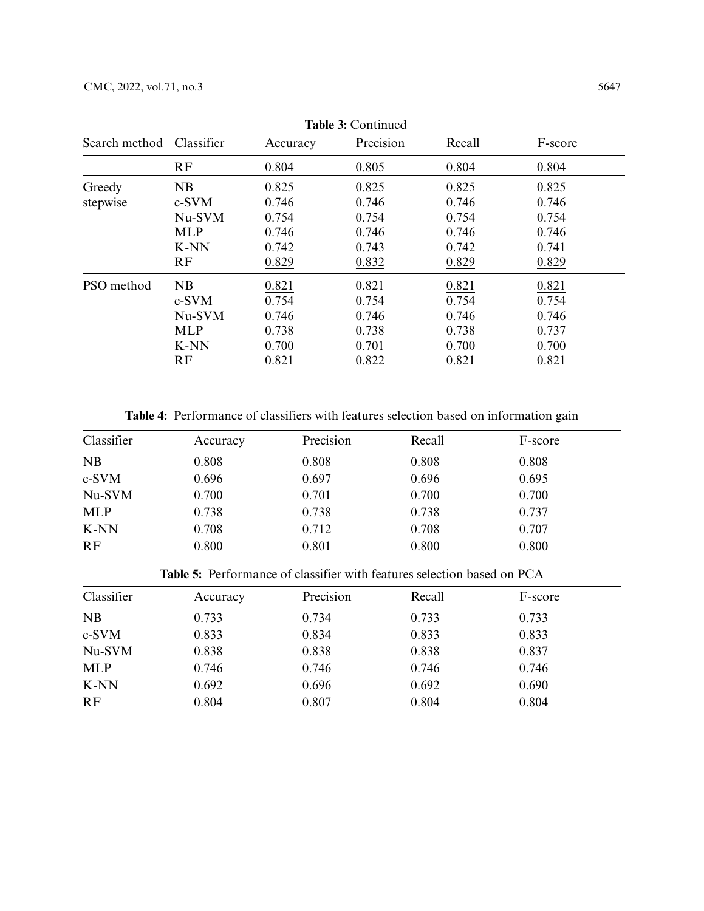| Search method | Classifier | Accuracy | <b>Table 5: C</b> ontinued<br>Precision | Recall | F-score |
|---------------|------------|----------|-----------------------------------------|--------|---------|
|               | RF         | 0.804    | 0.805                                   | 0.804  | 0.804   |
| Greedy        | NB         | 0.825    | 0.825                                   | 0.825  | 0.825   |
| stepwise      | c-SVM      | 0.746    | 0.746                                   | 0.746  | 0.746   |
|               | Nu-SVM     | 0.754    | 0.754                                   | 0.754  | 0.754   |
|               | <b>MLP</b> | 0.746    | 0.746                                   | 0.746  | 0.746   |
|               | K-NN       | 0.742    | 0.743                                   | 0.742  | 0.741   |
|               | RF         | 0.829    | 0.832                                   | 0.829  | 0.829   |
| PSO method    | NB         | 0.821    | 0.821                                   | 0.821  | 0.821   |
|               | c-SVM      | 0.754    | 0.754                                   | 0.754  | 0.754   |
|               | Nu-SVM     | 0.746    | 0.746                                   | 0.746  | 0.746   |
|               | <b>MLP</b> | 0.738    | 0.738                                   | 0.738  | 0.737   |
|               | K-NN       | 0.700    | 0.701                                   | 0.700  | 0.700   |
|               | RF         | 0.821    | 0.822                                   | 0.821  | 0.821   |

**Table 3:** Continued

**Table 4:** Performance of classifiers with features selection based on information gain

<span id="page-8-0"></span>

| Classifier | Accuracy | Precision | Recall | F-score |
|------------|----------|-----------|--------|---------|
| <b>NB</b>  | 0.808    | 0.808     | 0.808  | 0.808   |
| c-SVM      | 0.696    | 0.697     | 0.696  | 0.695   |
| Nu-SVM     | 0.700    | 0.701     | 0.700  | 0.700   |
| <b>MLP</b> | 0.738    | 0.738     | 0.738  | 0.737   |
| K-NN       | 0.708    | 0.712     | 0.708  | 0.707   |
| RF         | 0.800    | 0.801     | 0.800  | 0.800   |

**Table 5:** Performance of classifier with features selection based on PCA

<span id="page-8-1"></span>

| Classifier | Accuracy | Precision | Recall | F-score |  |
|------------|----------|-----------|--------|---------|--|
| NB         | 0.733    | 0.734     | 0.733  | 0.733   |  |
| c-SVM      | 0.833    | 0.834     | 0.833  | 0.833   |  |
| Nu-SVM     | 0.838    | 0.838     | 0.838  | 0.837   |  |
| <b>MLP</b> | 0.746    | 0.746     | 0.746  | 0.746   |  |
| K-NN       | 0.692    | 0.696     | 0.692  | 0.690   |  |
| RF         | 0.804    | 0.807     | 0.804  | 0.804   |  |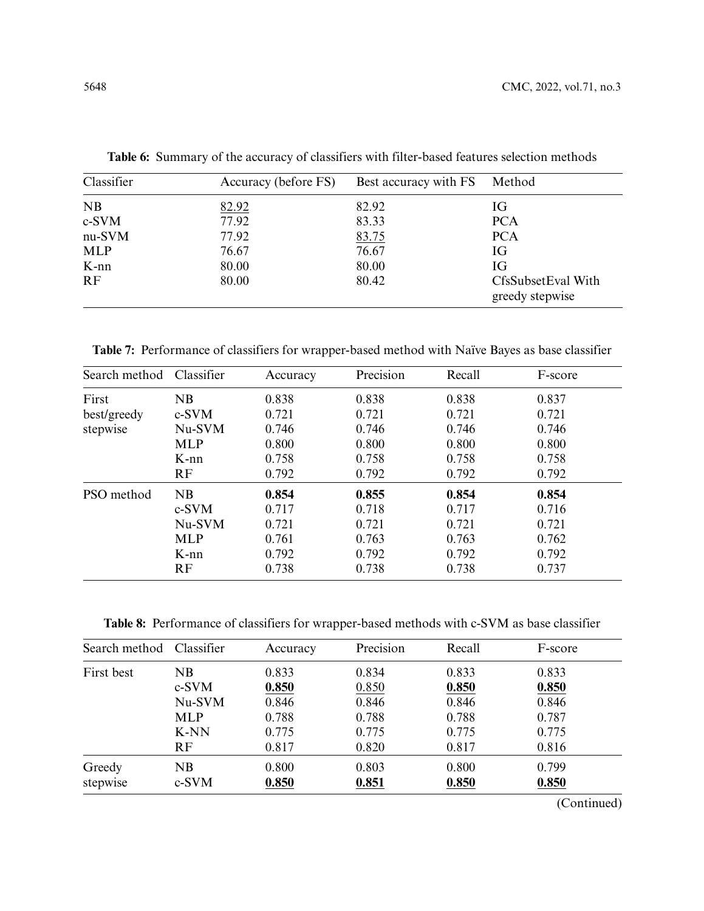| Classifier | Accuracy (before FS) | Best accuracy with FS | Method                                |
|------------|----------------------|-----------------------|---------------------------------------|
| NB         | 82.92                | 82.92                 | IG                                    |
| c-SVM      | 77.92                | 83.33                 | <b>PCA</b>                            |
| nu-SVM     | 77.92                | 83.75                 | <b>PCA</b>                            |
| <b>MLP</b> | 76.67                | 76.67                 | IG                                    |
| $K-nn$     | 80.00                | 80.00                 | IG                                    |
| RF         | 80.00                | 80.42                 | CfsSubsetEval With<br>greedy stepwise |

<span id="page-9-0"></span>**Table 6:** Summary of the accuracy of classifiers with filter-based features selection methods

<span id="page-9-1"></span>**Table 7:** Performance of classifiers for wrapper-based method with Naïve Bayes as base classifier

| Search method | Classifier | Accuracy | Precision | Recall | F-score |
|---------------|------------|----------|-----------|--------|---------|
| First         | NB         | 0.838    | 0.838     | 0.838  | 0.837   |
| best/greedy   | c-SVM      | 0.721    | 0.721     | 0.721  | 0.721   |
| stepwise      | Nu-SVM     | 0.746    | 0.746     | 0.746  | 0.746   |
|               | <b>MLP</b> | 0.800    | 0.800     | 0.800  | 0.800   |
|               | $K$ -nn    | 0.758    | 0.758     | 0.758  | 0.758   |
|               | RF         | 0.792    | 0.792     | 0.792  | 0.792   |
| PSO method    | NB         | 0.854    | 0.855     | 0.854  | 0.854   |
|               | c-SVM      | 0.717    | 0.718     | 0.717  | 0.716   |
|               | Nu-SVM     | 0.721    | 0.721     | 0.721  | 0.721   |
|               | <b>MLP</b> | 0.761    | 0.763     | 0.763  | 0.762   |
|               | $K$ -nn    | 0.792    | 0.792     | 0.792  | 0.792   |
|               | RF         | 0.738    | 0.738     | 0.738  | 0.737   |

<span id="page-9-2"></span>**Table 8:** Performance of classifiers for wrapper-based methods with c-SVM as base classifier

| Search method | Classifier | Accuracy | Precision | Recall | F-score |
|---------------|------------|----------|-----------|--------|---------|
| First best    | NB         | 0.833    | 0.834     | 0.833  | 0.833   |
|               | c-SVM      | 0.850    | 0.850     | 0.850  | 0.850   |
|               | Nu-SVM     | 0.846    | 0.846     | 0.846  | 0.846   |
|               | <b>MLP</b> | 0.788    | 0.788     | 0.788  | 0.787   |
|               | K-NN       | 0.775    | 0.775     | 0.775  | 0.775   |
|               | <b>RF</b>  | 0.817    | 0.820     | 0.817  | 0.816   |
| Greedy        | NB         | 0.800    | 0.803     | 0.800  | 0.799   |
| stepwise      | $c-SVM$    | 0.850    | 0.851     | 0.850  | 0.850   |

(Continued)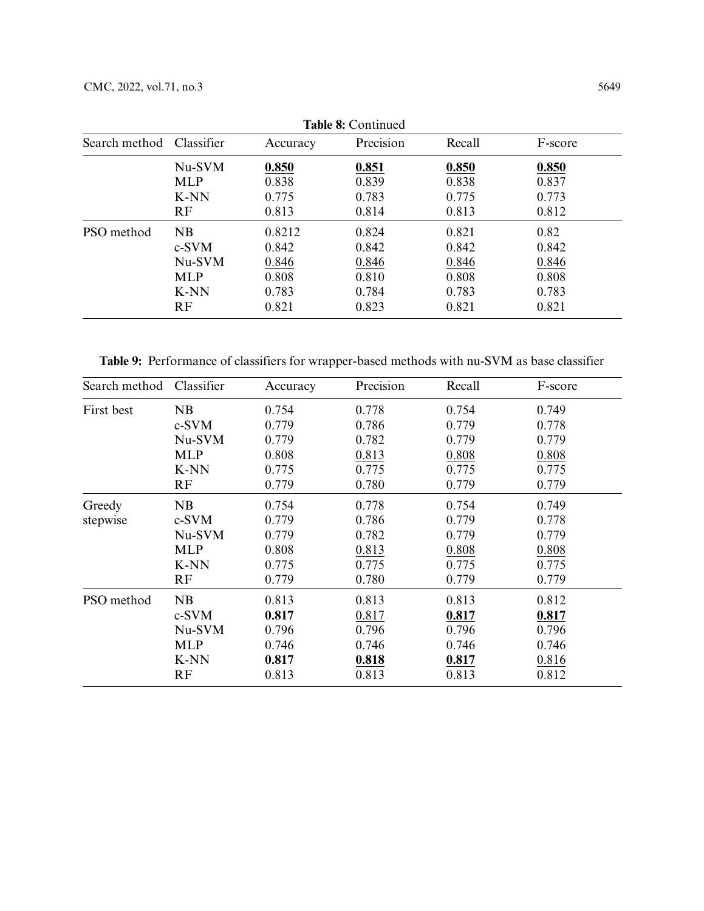|               | <b>Table 8:</b> Continued |          |           |        |         |  |  |  |
|---------------|---------------------------|----------|-----------|--------|---------|--|--|--|
| Search method | Classifier                | Accuracy | Precision | Recall | F-score |  |  |  |
|               | Nu-SVM                    | 0.850    | 0.851     | 0.850  | 0.850   |  |  |  |
|               | <b>MLP</b>                | 0.838    | 0.839     | 0.838  | 0.837   |  |  |  |
|               | K-NN                      | 0.775    | 0.783     | 0.775  | 0.773   |  |  |  |
|               | RF                        | 0.813    | 0.814     | 0.813  | 0.812   |  |  |  |
| PSO method    | NB                        | 0.8212   | 0.824     | 0.821  | 0.82    |  |  |  |
|               | c-SVM                     | 0.842    | 0.842     | 0.842  | 0.842   |  |  |  |
|               | Nu-SVM                    | 0.846    | 0.846     | 0.846  | 0.846   |  |  |  |
|               | <b>MLP</b>                | 0.808    | 0.810     | 0.808  | 0.808   |  |  |  |
|               | K-NN                      | 0.783    | 0.784     | 0.783  | 0.783   |  |  |  |
|               | RF                        | 0.821    | 0.823     | 0.821  | 0.821   |  |  |  |

**Table 8:** Continued

<span id="page-10-0"></span>**Table 9:** Performance of classifiers for wrapper-based methods with nu-SVM as base classifier

| Search method | Classifier | Accuracy | Precision | Recall | F-score |
|---------------|------------|----------|-----------|--------|---------|
| First best    | NB         | 0.754    | 0.778     | 0.754  | 0.749   |
|               | c-SVM      | 0.779    | 0.786     | 0.779  | 0.778   |
|               | Nu-SVM     | 0.779    | 0.782     | 0.779  | 0.779   |
|               | <b>MLP</b> | 0.808    | 0.813     | 0.808  | 0.808   |
|               | K-NN       | 0.775    | 0.775     | 0.775  | 0.775   |
|               | RF         | 0.779    | 0.780     | 0.779  | 0.779   |
| Greedy        | NB         | 0.754    | 0.778     | 0.754  | 0.749   |
| stepwise      | c-SVM      | 0.779    | 0.786     | 0.779  | 0.778   |
|               | Nu-SVM     | 0.779    | 0.782     | 0.779  | 0.779   |
|               | <b>MLP</b> | 0.808    | 0.813     | 0.808  | 0.808   |
|               | K-NN       | 0.775    | 0.775     | 0.775  | 0.775   |
|               | RF         | 0.779    | 0.780     | 0.779  | 0.779   |
| PSO method    | NB         | 0.813    | 0.813     | 0.813  | 0.812   |
|               | c-SVM      | 0.817    | 0.817     | 0.817  | 0.817   |
|               | Nu-SVM     | 0.796    | 0.796     | 0.796  | 0.796   |
|               | <b>MLP</b> | 0.746    | 0.746     | 0.746  | 0.746   |
|               | K-NN       | 0.817    | 0.818     | 0.817  | 0.816   |
|               | RF         | 0.813    | 0.813     | 0.813  | 0.812   |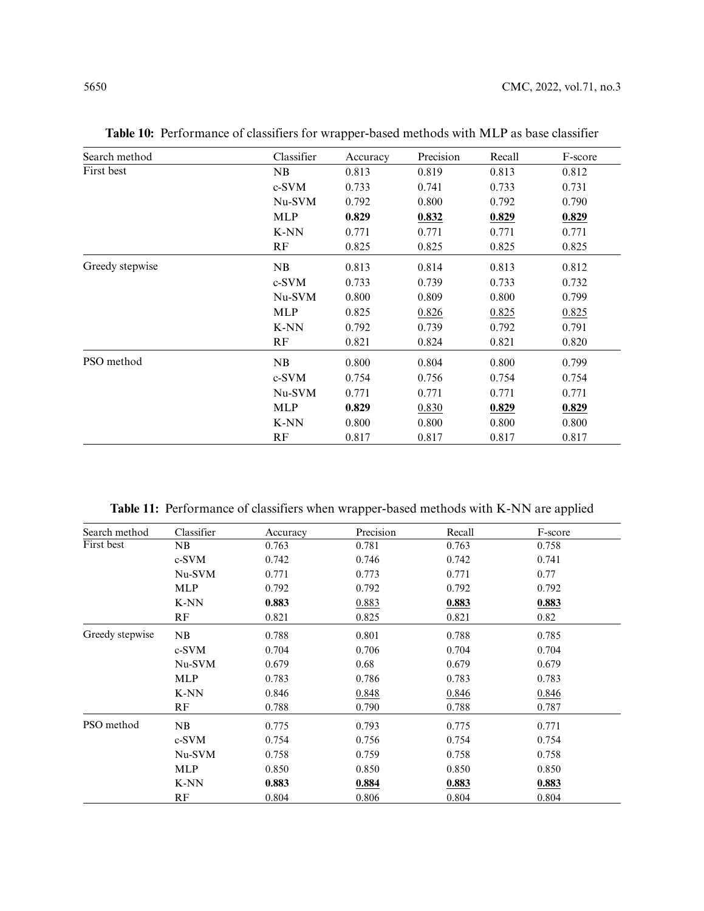| Search method   | Classifier | Accuracy | Precision | Recall | F-score |
|-----------------|------------|----------|-----------|--------|---------|
| First best      | NB         | 0.813    | 0.819     | 0.813  | 0.812   |
|                 | $c-SVM$    | 0.733    | 0.741     | 0.733  | 0.731   |
|                 | Nu-SVM     | 0.792    | 0.800     | 0.792  | 0.790   |
|                 | <b>MLP</b> | 0.829    | 0.832     | 0.829  | 0.829   |
|                 | K-NN       | 0.771    | 0.771     | 0.771  | 0.771   |
|                 | RF         | 0.825    | 0.825     | 0.825  | 0.825   |
| Greedy stepwise | NB         | 0.813    | 0.814     | 0.813  | 0.812   |
|                 | $c-SVM$    | 0.733    | 0.739     | 0.733  | 0.732   |
|                 | Nu-SVM     | 0.800    | 0.809     | 0.800  | 0.799   |
|                 | <b>MLP</b> | 0.825    | 0.826     | 0.825  | 0.825   |
|                 | K-NN       | 0.792    | 0.739     | 0.792  | 0.791   |
|                 | RF         | 0.821    | 0.824     | 0.821  | 0.820   |
| PSO method      | NB         | 0.800    | 0.804     | 0.800  | 0.799   |
|                 | $c-SVM$    | 0.754    | 0.756     | 0.754  | 0.754   |
|                 | Nu-SVM     | 0.771    | 0.771     | 0.771  | 0.771   |
|                 | <b>MLP</b> | 0.829    | 0.830     | 0.829  | 0.829   |
|                 | K-NN       | 0.800    | 0.800     | 0.800  | 0.800   |
|                 | RF         | 0.817    | 0.817     | 0.817  | 0.817   |

<span id="page-11-0"></span>**Table 10:** Performance of classifiers for wrapper-based methods with MLP as base classifier

**Table 11:** Performance of classifiers when wrapper-based methods with K-NN are applied

<span id="page-11-1"></span>

| Search method   | Classifier | Accuracy | Precision | Recall | F-score |
|-----------------|------------|----------|-----------|--------|---------|
| First best      | NB         | 0.763    | 0.781     | 0.763  | 0.758   |
|                 | c-SVM      | 0.742    | 0.746     | 0.742  | 0.741   |
|                 | Nu-SVM     | 0.771    | 0.773     | 0.771  | 0.77    |
|                 | <b>MLP</b> | 0.792    | 0.792     | 0.792  | 0.792   |
|                 | K-NN       | 0.883    | 0.883     | 0.883  | 0.883   |
|                 | RF         | 0.821    | 0.825     | 0.821  | 0.82    |
| Greedy stepwise | NB         | 0.788    | 0.801     | 0.788  | 0.785   |
|                 | c-SVM      | 0.704    | 0.706     | 0.704  | 0.704   |
|                 | Nu-SVM     | 0.679    | 0.68      | 0.679  | 0.679   |
|                 | <b>MLP</b> | 0.783    | 0.786     | 0.783  | 0.783   |
|                 | K-NN       | 0.846    | 0.848     | 0.846  | 0.846   |
|                 | RF         | 0.788    | 0.790     | 0.788  | 0.787   |
| PSO method      | NB         | 0.775    | 0.793     | 0.775  | 0.771   |
|                 | c-SVM      | 0.754    | 0.756     | 0.754  | 0.754   |
|                 | Nu-SVM     | 0.758    | 0.759     | 0.758  | 0.758   |
|                 | <b>MLP</b> | 0.850    | 0.850     | 0.850  | 0.850   |
|                 | K-NN       | 0.883    | 0.884     | 0.883  | 0.883   |
|                 | RF         | 0.804    | 0.806     | 0.804  | 0.804   |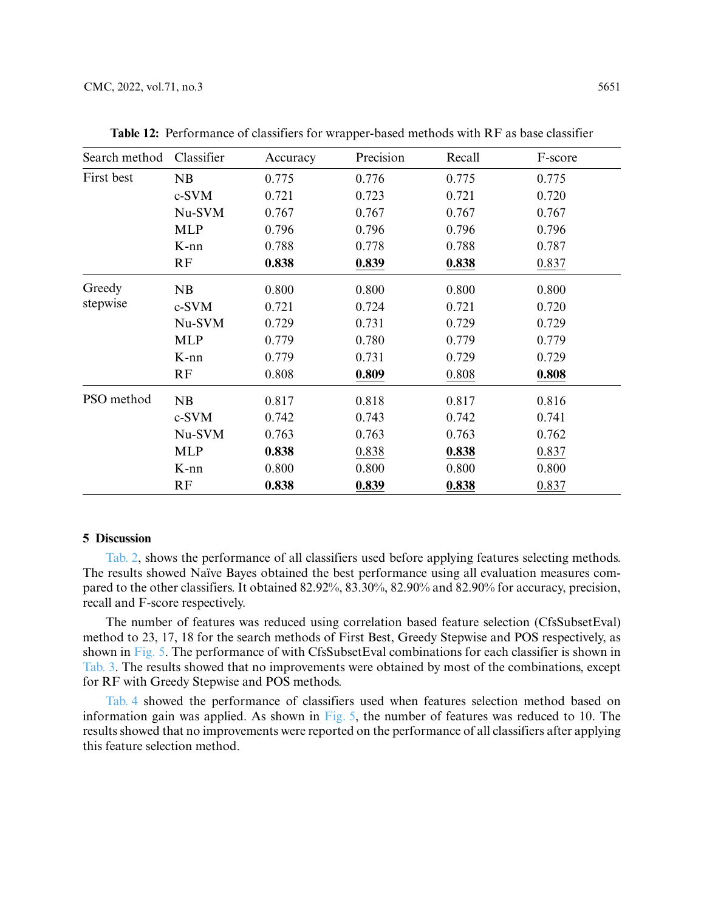| Search method | Classifier | Accuracy | Precision | Recall | F-score |
|---------------|------------|----------|-----------|--------|---------|
| First best    | NB         | 0.775    | 0.776     | 0.775  | 0.775   |
|               | c-SVM      | 0.721    | 0.723     | 0.721  | 0.720   |
|               | Nu-SVM     | 0.767    | 0.767     | 0.767  | 0.767   |
|               | <b>MLP</b> | 0.796    | 0.796     | 0.796  | 0.796   |
|               | $K-nn$     | 0.788    | 0.778     | 0.788  | 0.787   |
|               | RF         | 0.838    | 0.839     | 0.838  | 0.837   |
| Greedy        | NB         | 0.800    | 0.800     | 0.800  | 0.800   |
| stepwise      | c-SVM      | 0.721    | 0.724     | 0.721  | 0.720   |
|               | Nu-SVM     | 0.729    | 0.731     | 0.729  | 0.729   |
|               | <b>MLP</b> | 0.779    | 0.780     | 0.779  | 0.779   |
|               | $K-nn$     | 0.779    | 0.731     | 0.729  | 0.729   |
|               | RF         | 0.808    | 0.809     | 0.808  | 0.808   |
| PSO method    | NB         | 0.817    | 0.818     | 0.817  | 0.816   |
|               | c-SVM      | 0.742    | 0.743     | 0.742  | 0.741   |
|               | Nu-SVM     | 0.763    | 0.763     | 0.763  | 0.762   |
|               | <b>MLP</b> | 0.838    | 0.838     | 0.838  | 0.837   |
|               | K-nn       | 0.800    | 0.800     | 0.800  | 0.800   |
|               | RF         | 0.838    | 0.839     | 0.838  | 0.837   |

<span id="page-12-0"></span>**Table 12:** Performance of classifiers for wrapper-based methods with RF as base classifier

#### **5 Discussion**

[Tab. 2,](#page-7-0) shows the performance of all classifiers used before applying features selecting methods. The results showed Naïve Bayes obtained the best performance using all evaluation measures compared to the other classifiers. It obtained 82.92%, 83.30%, 82.90% and 82.90% for accuracy, precision, recall and F-score respectively.

The number of features was reduced using correlation based feature selection (CfsSubsetEval) method to 23, 17, 18 for the search methods of First Best, Greedy Stepwise and POS respectively, as shown in [Fig. 5.](#page-13-0) The performance of with CfsSubsetEval combinations for each classifier is shown in [Tab. 3.](#page-7-1) The results showed that no improvements were obtained by most of the combinations, except for RF with Greedy Stepwise and POS methods.

[Tab. 4](#page-8-0) showed the performance of classifiers used when features selection method based on information gain was applied. As shown in [Fig. 5,](#page-13-0) the number of features was reduced to 10. The results showed that no improvements were reported on the performance of all classifiers after applying this feature selection method.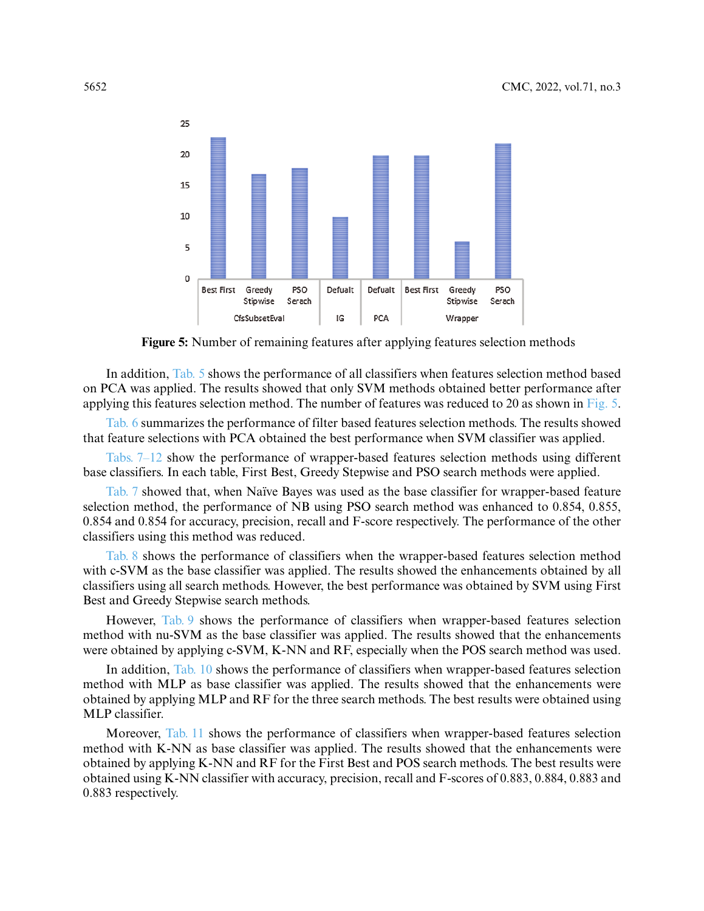

**Figure 5:** Number of remaining features after applying features selection methods

<span id="page-13-0"></span>In addition, [Tab. 5](#page-8-1) shows the performance of all classifiers when features selection method based on PCA was applied. The results showed that only SVM methods obtained better performance after applying this features selection method. The number of features was reduced to 20 as shown in [Fig. 5.](#page-13-0)

[Tab. 6](#page-9-0) summarizes the performance of filter based features selection methods. The results showed that feature selections with PCA obtained the best performance when SVM classifier was applied.

Tabs. 7–12 show the performance of wrapper-based features selection methods using different base classifiers. In each table, First Best, Greedy Stepwise and PSO search methods were applied.

[Tab. 7](#page-9-1) showed that, when Naïve Bayes was used as the base classifier for wrapper-based feature selection method, the performance of NB using PSO search method was enhanced to 0.854, 0.855, 0.854 and 0.854 for accuracy, precision, recall and F-score respectively. The performance of the other classifiers using this method was reduced.

[Tab. 8](#page-9-2) shows the performance of classifiers when the wrapper-based features selection method with c-SVM as the base classifier was applied. The results showed the enhancements obtained by all classifiers using all search methods. However, the best performance was obtained by SVM using First Best and Greedy Stepwise search methods.

However, [Tab. 9](#page-10-0) shows the performance of classifiers when wrapper-based features selection method with nu-SVM as the base classifier was applied. The results showed that the enhancements were obtained by applying c-SVM, K-NN and RF, especially when the POS search method was used.

In addition, [Tab. 10](#page-11-0) shows the performance of classifiers when wrapper-based features selection method with MLP as base classifier was applied. The results showed that the enhancements were obtained by applying MLP and RF for the three search methods. The best results were obtained using MLP classifier.

Moreover, [Tab. 11](#page-11-1) shows the performance of classifiers when wrapper-based features selection method with K-NN as base classifier was applied. The results showed that the enhancements were obtained by applying K-NN and RF for the First Best and POS search methods. The best results were obtained using K-NN classifier with accuracy, precision, recall and F-scores of 0.883, 0.884, 0.883 and 0.883 respectively.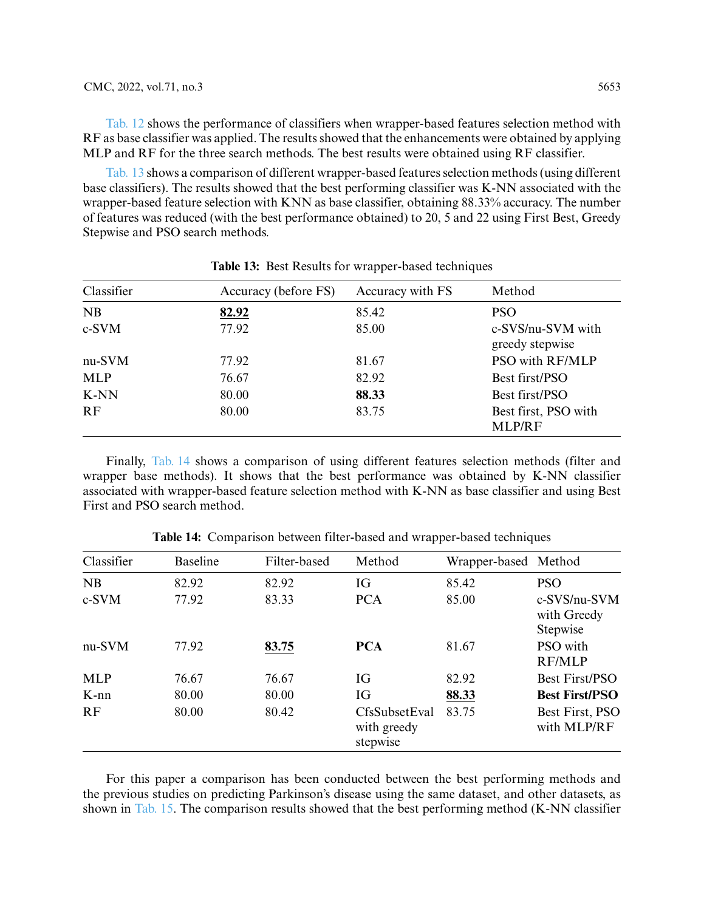[Tab. 12](#page-12-0) shows the performance of classifiers when wrapper-based features selection method with RF as base classifier was applied. The results showed that the enhancements were obtained by applying MLP and RF for the three search methods. The best results were obtained using RF classifier.

[Tab. 13](#page-14-0) shows a comparison of different wrapper-based features selection methods (using different base classifiers). The results showed that the best performing classifier was K-NN associated with the wrapper-based feature selection with KNN as base classifier, obtaining 88.33% accuracy. The number of features was reduced (with the best performance obtained) to 20, 5 and 22 using First Best, Greedy Stepwise and PSO search methods.

<span id="page-14-0"></span>

| Classifier | Accuracy (before FS) | Accuracy with FS | Method                                |
|------------|----------------------|------------------|---------------------------------------|
| NB         | 82.92                | 85.42            | <b>PSO</b>                            |
| $c-SVM$    | 77.92                | 85.00            | c-SVS/nu-SVM with<br>greedy stepwise  |
| nu-SVM     | 77.92                | 81.67            | PSO with RF/MLP                       |
| <b>MLP</b> | 76.67                | 82.92            | Best first/PSO                        |
| K-NN       | 80.00                | 88.33            | Best first/PSO                        |
| RF         | 80.00                | 83.75            | Best first, PSO with<br><b>MLP/RF</b> |

**Table 13:** Best Results for wrapper-based techniques

Finally, [Tab. 14](#page-14-1) shows a comparison of using different features selection methods (filter and wrapper base methods). It shows that the best performance was obtained by K-NN classifier associated with wrapper-based feature selection method with K-NN as base classifier and using Best First and PSO search method.

<span id="page-14-1"></span>

| Classifier | <b>Baseline</b> | Filter-based | Method                                   | Wrapper-based Method |                                         |
|------------|-----------------|--------------|------------------------------------------|----------------------|-----------------------------------------|
| <b>NB</b>  | 82.92           | 82.92        | IG                                       | 85.42                | <b>PSO</b>                              |
| $c-SVM$    | 77.92           | 83.33        | <b>PCA</b>                               | 85.00                | c-SVS/nu-SVM<br>with Greedy<br>Stepwise |
| nu-SVM     | 77.92           | 83.75        | <b>PCA</b>                               | 81.67                | PSO with<br>RF/MLP                      |
| <b>MLP</b> | 76.67           | 76.67        | IG                                       | 82.92                | <b>Best First/PSO</b>                   |
| $K-nn$     | 80.00           | 80.00        | IG                                       | 88.33                | <b>Best First/PSO</b>                   |
| RF         | 80.00           | 80.42        | CfsSubsetEval<br>with greedy<br>stepwise | 83.75                | Best First, PSO<br>with MLP/RF          |

**Table 14:** Comparison between filter-based and wrapper-based techniques

For this paper a comparison has been conducted between the best performing methods and the previous studies on predicting Parkinson's disease using the same dataset, and other datasets, as shown in [Tab. 15.](#page-15-5) The comparison results showed that the best performing method (K-NN classifier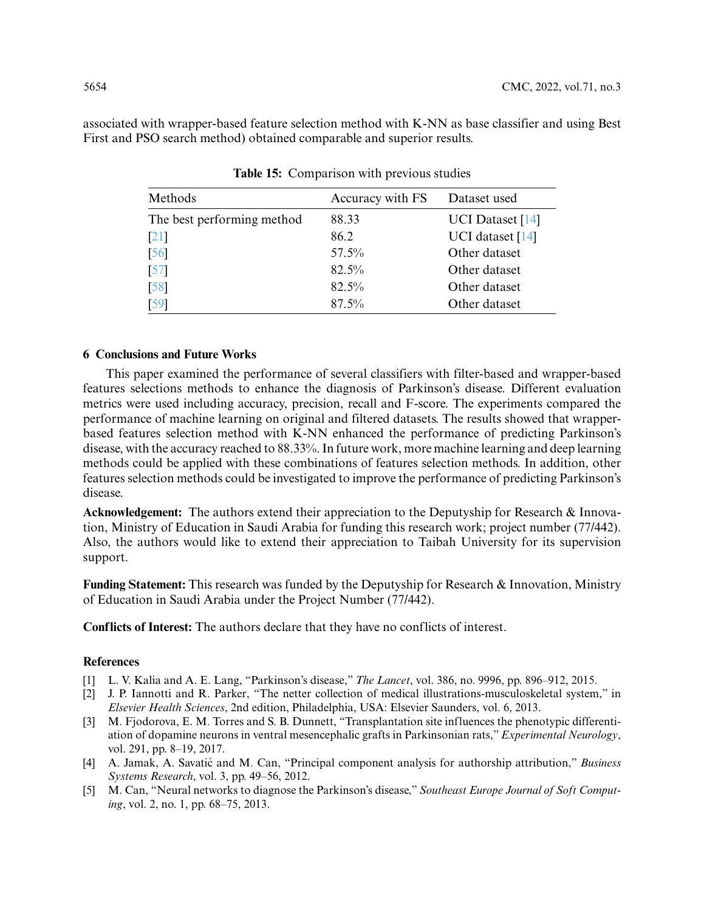<span id="page-15-5"></span>associated with wrapper-based feature selection method with K-NN as base classifier and using Best First and PSO search method) obtained comparable and superior results.

| Methods                    | Accuracy with FS | Dataset used            |
|----------------------------|------------------|-------------------------|
| The best performing method | 88.33            | <b>UCI</b> Dataset [14] |
| $\lceil 21 \rceil$         | 86.2             | UCI dataset [14]        |
| $\sqrt{56}$                | $57.5\%$         | Other dataset           |
| $\sqrt{57}$                | $82.5\%$         | Other dataset           |
| $\sqrt{58}$                | $82.5\%$         | Other dataset           |
| [59]                       | $87.5\%$         | Other dataset           |

**Table 15:** Comparison with previous studies

#### **6 Conclusions and Future Works**

This paper examined the performance of several classifiers with filter-based and wrapper-based features selections methods to enhance the diagnosis of Parkinson's disease. Different evaluation metrics were used including accuracy, precision, recall and F-score. The experiments compared the performance of machine learning on original and filtered datasets. The results showed that wrapperbased features selection method with K-NN enhanced the performance of predicting Parkinson's disease, with the accuracy reached to 88.33%. In future work, more machine learning and deep learning methods could be applied with these combinations of features selection methods. In addition, other features selection methods could be investigated to improve the performance of predicting Parkinson's disease.

**Acknowledgement:** The authors extend their appreciation to the Deputyship for Research & Innovation, Ministry of Education in Saudi Arabia for funding this research work; project number (77/442). Also, the authors would like to extend their appreciation to Taibah University for its supervision support.

**Funding Statement:** This research was funded by the Deputyship for Research & Innovation, Ministry of Education in Saudi Arabia under the Project Number (77/442).

**Conflicts of Interest:** The authors declare that they have no conflicts of interest.

#### **References**

- <span id="page-15-0"></span>[1] L. V. Kalia and A. E. Lang, "Parkinson's disease," *The Lancet*, vol. 386, no. 9996, pp. 896–912, 2015.
- <span id="page-15-1"></span>[2] J. P. Iannotti and R. Parker, "The netter collection of medical illustrations-musculoskeletal system," in *Elsevier Health Sciences*, 2nd edition, Philadelphia, USA: Elsevier Saunders, vol. 6, 2013.
- <span id="page-15-2"></span>[3] M. Fjodorova, E. M. Torres and S. B. Dunnett, "Transplantation site influences the phenotypic differentiation of dopamine neurons in ventral mesencephalic grafts in Parkinsonian rats,"*Experimental Neurology*, vol. 291, pp. 8–19, 2017.
- <span id="page-15-3"></span>[4] A. Jamak, A. Savatić and M. Can, "Principal component analysis for authorship attribution," *Business Systems Research*, vol. 3, pp. 49–56, 2012.
- <span id="page-15-4"></span>[5] M. Can, "Neural networks to diagnose the Parkinson's disease," *Southeast Europe Journal of Soft Computing*, vol. 2, no. 1, pp. 68–75, 2013.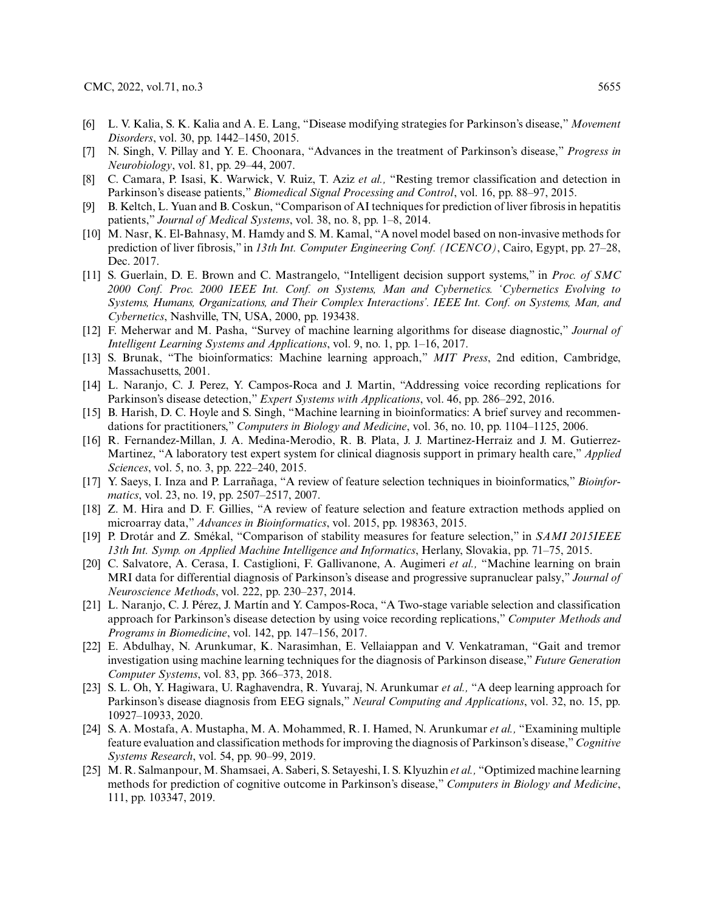- <span id="page-16-0"></span>[6] L. V. Kalia, S. K. Kalia and A. E. Lang, "Disease modifying strategies for Parkinson's disease," *Movement Disorders*, vol. 30, pp. 1442–1450, 2015.
- <span id="page-16-1"></span>[7] N. Singh, V. Pillay and Y. E. Choonara, "Advances in the treatment of Parkinson's disease," *Progress in Neurobiology*, vol. 81, pp. 29–44, 2007.
- <span id="page-16-2"></span>[8] C. Camara, P. Isasi, K. Warwick, V. Ruiz, T. Aziz *et al.,* "Resting tremor classification and detection in Parkinson's disease patients," *Biomedical Signal Processing and Control*, vol. 16, pp. 88–97, 2015.
- <span id="page-16-3"></span>[9] B. Keltch, L. Yuan and B. Coskun, "Comparison of AI techniques for prediction of liver fibrosis in hepatitis patients," *Journal of Medical Systems*, vol. 38, no. 8, pp. 1–8, 2014.
- <span id="page-16-4"></span>[10] M. Nasr, K. El-Bahnasy, M. Hamdy and S. M. Kamal, "A novel model based on non-invasive methods for prediction of liver fibrosis," in *13th Int. Computer Engineering Conf. (ICENCO)*, Cairo, Egypt, pp. 27–28, Dec. 2017.
- <span id="page-16-5"></span>[11] S. Guerlain, D. E. Brown and C. Mastrangelo, "Intelligent decision support systems," in *Proc. of SMC 2000 Conf. Proc. 2000 IEEE Int. Conf. on Systems, Man and Cybernetics. 'Cybernetics Evolving to Systems, Humans, Organizations, and Their Complex Interactions'. IEEE Int. Conf. on Systems, Man, and Cybernetics*, Nashville, TN, USA, 2000, pp. 193438.
- <span id="page-16-6"></span>[12] F. Meherwar and M. Pasha, "Survey of machine learning algorithms for disease diagnostic," *Journal of Intelligent Learning Systems and Applications*, vol. 9, no. 1, pp. 1–16, 2017.
- <span id="page-16-7"></span>[13] S. Brunak, "The bioinformatics: Machine learning approach," *MIT Press*, 2nd edition, Cambridge, Massachusetts, 2001.
- <span id="page-16-8"></span>[14] L. Naranjo, C. J. Perez, Y. Campos-Roca and J. Martin, "Addressing voice recording replications for Parkinson's disease detection," *Expert Systems with Applications*, vol. 46, pp. 286–292, 2016.
- <span id="page-16-9"></span>[15] B. Harish, D. C. Hoyle and S. Singh, "Machine learning in bioinformatics: A brief survey and recommendations for practitioners," *Computers in Biology and Medicine*, vol. 36, no. 10, pp. 1104–1125, 2006.
- <span id="page-16-10"></span>[16] R. Fernandez-Millan, J. A. Medina-Merodio, R. B. Plata, J. J. Martinez-Herraiz and J. M. Gutierrez-Martinez, "A laboratory test expert system for clinical diagnosis support in primary health care," *Applied Sciences*, vol. 5, no. 3, pp. 222–240, 2015.
- <span id="page-16-11"></span>[17] Y. Saeys, I. Inza and P. Larrañaga, "A review of feature selection techniques in bioinformatics," *Bioinformatics*, vol. 23, no. 19, pp. 2507–2517, 2007.
- <span id="page-16-12"></span>[18] Z. M. Hira and D. F. Gillies, "A review of feature selection and feature extraction methods applied on microarray data," *Advances in Bioinformatics*, vol. 2015, pp. 198363, 2015.
- <span id="page-16-13"></span>[19] P. Drotár and Z. Smékal, "Comparison of stability measures for feature selection," in *SAMI 2015IEEE 13th Int. Symp. on Applied Machine Intelligence and Informatics*, Herlany, Slovakia, pp. 71–75, 2015.
- <span id="page-16-14"></span>[20] C. Salvatore, A. Cerasa, I. Castiglioni, F. Gallivanone, A. Augimeri *et al.,* "Machine learning on brain MRI data for differential diagnosis of Parkinson's disease and progressive supranuclear palsy," *Journal of Neuroscience Methods*, vol. 222, pp. 230–237, 2014.
- <span id="page-16-15"></span>[21] L. Naranjo, C. J. Pérez, J. Martín and Y. Campos-Roca, "A Two-stage variable selection and classification approach for Parkinson's disease detection by using voice recording replications," *Computer Methods and Programs in Biomedicine*, vol. 142, pp. 147–156, 2017.
- <span id="page-16-16"></span>[22] E. Abdulhay, N. Arunkumar, K. Narasimhan, E. Vellaiappan and V. Venkatraman, "Gait and tremor investigation using machine learning techniques for the diagnosis of Parkinson disease," *Future Generation Computer Systems*, vol. 83, pp. 366–373, 2018.
- <span id="page-16-17"></span>[23] S. L. Oh, Y. Hagiwara, U. Raghavendra, R. Yuvaraj, N. Arunkumar *et al.,* "A deep learning approach for Parkinson's disease diagnosis from EEG signals," *Neural Computing and Applications*, vol. 32, no. 15, pp. 10927–10933, 2020.
- <span id="page-16-18"></span>[24] S. A. Mostafa, A. Mustapha, M. A. Mohammed, R. I. Hamed, N. Arunkumar *et al.,* "Examining multiple feature evaluation and classification methods for improving the diagnosis of Parkinson's disease,"*Cognitive Systems Research*, vol. 54, pp. 90–99, 2019.
- <span id="page-16-19"></span>[25] M. R. Salmanpour, M. Shamsaei, A. Saberi, S. Setayeshi, I. S. Klyuzhin *et al.,* "Optimized machine learning methods for prediction of cognitive outcome in Parkinson's disease," *Computers in Biology and Medicine*, 111, pp. 103347, 2019.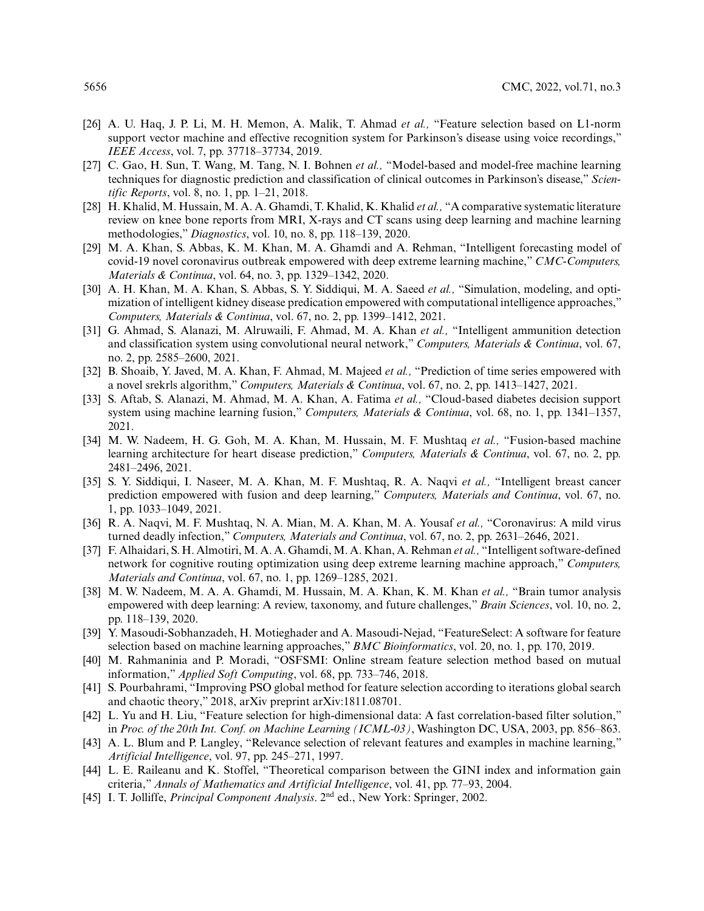- [26] A. U. Haq, J. P. Li, M. H. Memon, A. Malik, T. Ahmad *et al.,* "Feature selection based on L1-norm support vector machine and effective recognition system for Parkinson's disease using voice recordings," *IEEE Access*, vol. 7, pp. 37718–37734, 2019.
- <span id="page-17-0"></span>[27] C. Gao, H. Sun, T. Wang, M. Tang, N. I. Bohnen *et al.,* "Model-based and model-free machine learning techniques for diagnostic prediction and classification of clinical outcomes in Parkinson's disease," *Scientific Reports*, vol. 8, no. 1, pp. 1–21, 2018.
- <span id="page-17-1"></span>[28] H. Khalid, M. Hussain, M. A. A. Ghamdi, T. Khalid, K. Khalid *et al.,* "A comparative systematic literature review on knee bone reports from MRI, X-rays and CT scans using deep learning and machine learning methodologies," *Diagnostics*, vol. 10, no. 8, pp. 118–139, 2020.
- [29] M. A. Khan, S. Abbas, K. M. Khan, M. A. Ghamdi and A. Rehman, "Intelligent forecasting model of covid-19 novel coronavirus outbreak empowered with deep extreme learning machine," *CMC-Computers, Materials & Continua*, vol. 64, no. 3, pp. 1329–1342, 2020.
- [30] A. H. Khan, M. A. Khan, S. Abbas, S. Y. Siddiqui, M. A. Saeed *et al.,* "Simulation, modeling, and optimization of intelligent kidney disease predication empowered with computational intelligence approaches," *Computers, Materials & Continua*, vol. 67, no. 2, pp. 1399–1412, 2021.
- [31] G. Ahmad, S. Alanazi, M. Alruwaili, F. Ahmad, M. A. Khan *et al.,* "Intelligent ammunition detection and classification system using convolutional neural network," *Computers, Materials & Continua*, vol. 67, no. 2, pp. 2585–2600, 2021.
- [32] B. Shoaib, Y. Javed, M. A. Khan, F. Ahmad, M. Majeed *et al.,* "Prediction of time series empowered with a novel srekrls algorithm," *Computers, Materials & Continua*, vol. 67, no. 2, pp. 1413–1427, 2021.
- [33] S. Aftab, S. Alanazi, M. Ahmad, M. A. Khan, A. Fatima *et al.,* "Cloud-based diabetes decision support system using machine learning fusion," *Computers, Materials & Continua*, vol. 68, no. 1, pp. 1341–1357, 2021.
- [34] M. W. Nadeem, H. G. Goh, M. A. Khan, M. Hussain, M. F. Mushtaq *et al.,* "Fusion-based machine learning architecture for heart disease prediction," *Computers, Materials & Continua*, vol. 67, no. 2, pp. 2481–2496, 2021.
- [35] S. Y. Siddiqui, I. Naseer, M. A. Khan, M. F. Mushtaq, R. A. Naqvi *et al.,* "Intelligent breast cancer prediction empowered with fusion and deep learning," *Computers, Materials and Continua*, vol. 67, no. 1, pp. 1033–1049, 2021.
- [36] R. A. Naqvi, M. F. Mushtaq, N. A. Mian, M. A. Khan, M. A. Yousaf *et al.,* "Coronavirus: A mild virus turned deadly infection," *Computers, Materials and Continua*, vol. 67, no. 2, pp. 2631–2646, 2021.
- [37] F. Alhaidari, S. H. Almotiri, M. A. A. Ghamdi, M. A. Khan, A. Rehman *et al.,* "Intelligent software-defined network for cognitive routing optimization using deep extreme learning machine approach," *Computers, Materials and Continua*, vol. 67, no. 1, pp. 1269–1285, 2021.
- <span id="page-17-2"></span>[38] M. W. Nadeem, M. A. A. Ghamdi, M. Hussain, M. A. Khan, K. M. Khan *et al.,* "Brain tumor analysis empowered with deep learning: A review, taxonomy, and future challenges," *Brain Sciences*, vol. 10, no. 2, pp. 118–139, 2020.
- <span id="page-17-3"></span>[39] Y. Masoudi-Sobhanzadeh, H. Motieghader and A. Masoudi-Nejad, "FeatureSelect: A software for feature selection based on machine learning approaches," *BMC Bioinformatics*, vol. 20, no. 1, pp. 170, 2019.
- <span id="page-17-4"></span>[40] M. Rahmaninia and P. Moradi, "OSFSMI: Online stream feature selection method based on mutual information," *Applied Soft Computing*, vol. 68, pp. 733–746, 2018.
- <span id="page-17-5"></span>[41] S. Pourbahrami, "Improving PSO global method for feature selection according to iterations global search and chaotic theory," 2018, arXiv preprint arXiv:1811.08701.
- <span id="page-17-6"></span>[42] L. Yu and H. Liu, "Feature selection for high-dimensional data: A fast correlation-based filter solution," in *Proc. of the 20th Int. Conf. on Machine Learning (ICML-03)*, Washington DC, USA, 2003, pp. 856–863.
- [43] A. L. Blum and P. Langley, "Relevance selection of relevant features and examples in machine learning," *Artificial Intelligence*, vol. 97, pp. 245–271, 1997.
- <span id="page-17-7"></span>[44] L. E. Raileanu and K. Stoffel, "Theoretical comparison between the GINI index and information gain criteria," *Annals of Mathematics and Artificial Intelligence*, vol. 41, pp. 77–93, 2004.
- <span id="page-17-8"></span>[45] I. T. Jolliffe, *Principal Component Analysis*. 2nd ed., New York: Springer, 2002.